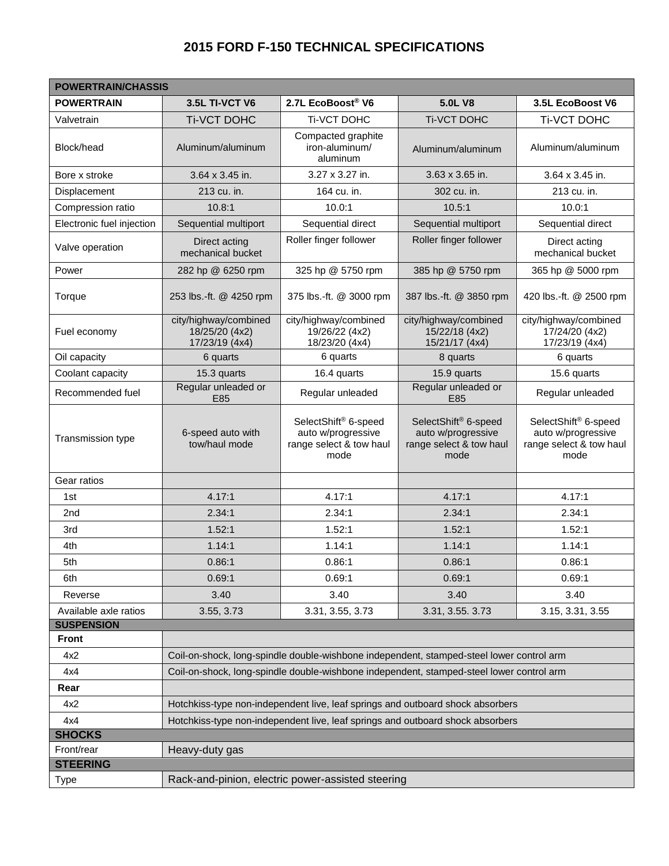## **2015 FORD F-150 TECHNICAL SPECIFICATIONS**

| <b>POWERTRAIN/CHASSIS</b>    |                                                                                          |                                                                                           |                                                                               |                                                                                           |  |  |  |  |  |  |
|------------------------------|------------------------------------------------------------------------------------------|-------------------------------------------------------------------------------------------|-------------------------------------------------------------------------------|-------------------------------------------------------------------------------------------|--|--|--|--|--|--|
| <b>POWERTRAIN</b>            | 3.5L TI-VCT V6                                                                           | 2.7L EcoBoost® V6                                                                         | <b>5.0L V8</b>                                                                | 3.5L EcoBoost V6                                                                          |  |  |  |  |  |  |
| Valvetrain                   | <b>Ti-VCT DOHC</b>                                                                       | Ti-VCT DOHC                                                                               | <b>Ti-VCT DOHC</b>                                                            | <b>Ti-VCT DOHC</b>                                                                        |  |  |  |  |  |  |
| Block/head                   | Aluminum/aluminum                                                                        | Compacted graphite<br>iron-aluminum/<br>aluminum                                          | Aluminum/aluminum                                                             | Aluminum/aluminum                                                                         |  |  |  |  |  |  |
| Bore x stroke                | 3.64 x 3.45 in.                                                                          | 3.27 x 3.27 in.                                                                           | 3.63 x 3.65 in.                                                               | 3.64 x 3.45 in.                                                                           |  |  |  |  |  |  |
| Displacement                 | 213 cu. in.                                                                              | 164 cu. in.                                                                               | 302 cu. in.                                                                   | 213 cu. in.                                                                               |  |  |  |  |  |  |
| Compression ratio            | 10.8:1                                                                                   | 10.0:1                                                                                    | 10.5:1                                                                        | 10.0:1                                                                                    |  |  |  |  |  |  |
| Electronic fuel injection    | Sequential multiport                                                                     | Sequential direct                                                                         | Sequential multiport                                                          | Sequential direct                                                                         |  |  |  |  |  |  |
| Valve operation              | Direct acting<br>mechanical bucket                                                       | Roller finger follower                                                                    | Roller finger follower                                                        | Direct acting<br>mechanical bucket                                                        |  |  |  |  |  |  |
| Power                        | 282 hp @ 6250 rpm                                                                        | 325 hp @ 5750 rpm                                                                         | 385 hp @ 5750 rpm                                                             | 365 hp @ 5000 rpm                                                                         |  |  |  |  |  |  |
| Torque                       | 253 lbs.-ft. @ 4250 rpm                                                                  | 375 lbs.-ft. @ 3000 rpm                                                                   | 387 lbs.-ft. @ 3850 rpm                                                       | 420 lbs.-ft. @ 2500 rpm                                                                   |  |  |  |  |  |  |
| Fuel economy                 | city/highway/combined<br>18/25/20 (4x2)<br>17/23/19 (4x4)                                | city/highway/combined<br>19/26/22 (4x2)<br>18/23/20 (4x4)                                 | city/highway/combined<br>15/22/18 (4x2)<br>15/21/17 (4x4)                     | city/highway/combined<br>17/24/20 (4x2)<br>17/23/19 (4x4)                                 |  |  |  |  |  |  |
| Oil capacity                 | 6 quarts                                                                                 | 6 quarts                                                                                  | 8 quarts                                                                      | 6 quarts                                                                                  |  |  |  |  |  |  |
| Coolant capacity             | 15.3 quarts                                                                              | 16.4 quarts                                                                               | 15.9 quarts                                                                   | 15.6 quarts                                                                               |  |  |  |  |  |  |
| Recommended fuel             | Regular unleaded or<br>E85                                                               | Regular unleaded                                                                          | Regular unleaded or<br>E85                                                    | Regular unleaded                                                                          |  |  |  |  |  |  |
| Transmission type            | 6-speed auto with<br>tow/haul mode                                                       | SelectShift <sup>®</sup> 6-speed<br>auto w/progressive<br>range select & tow haul<br>mode | SelectShift® 6-speed<br>auto w/progressive<br>range select & tow haul<br>mode | SelectShift <sup>®</sup> 6-speed<br>auto w/progressive<br>range select & tow haul<br>mode |  |  |  |  |  |  |
| Gear ratios                  |                                                                                          |                                                                                           |                                                                               |                                                                                           |  |  |  |  |  |  |
| 1st                          | 4.17:1                                                                                   | 4.17:1                                                                                    | 4.17:1                                                                        | 4.17:1                                                                                    |  |  |  |  |  |  |
| 2 <sub>nd</sub>              | 2.34:1                                                                                   | 2.34:1                                                                                    | 2.34:1                                                                        | 2.34:1                                                                                    |  |  |  |  |  |  |
| 3rd                          | 1.52:1                                                                                   | 1.52:1                                                                                    | 1.52:1                                                                        | 1.52:1                                                                                    |  |  |  |  |  |  |
| 4th                          | 1.14:1                                                                                   | 1.14:1                                                                                    | 1.14:1                                                                        | 1.14:1                                                                                    |  |  |  |  |  |  |
| 5th                          | 0.86:1                                                                                   | 0.86:1                                                                                    | 0.86:1                                                                        | 0.86:1                                                                                    |  |  |  |  |  |  |
| 6th                          | 0.69:1                                                                                   | 0.69:1                                                                                    | 0.69:1                                                                        | 0.69:1                                                                                    |  |  |  |  |  |  |
| Reverse                      | 3.40                                                                                     | 3.40                                                                                      | 3.40                                                                          | 3.40                                                                                      |  |  |  |  |  |  |
| Available axle ratios        | 3.55, 3.73                                                                               | 3.31, 3.55, 3.73                                                                          | 3.31, 3.55. 3.73                                                              | 3.15, 3.31, 3.55                                                                          |  |  |  |  |  |  |
| <b>SUSPENSION</b>            |                                                                                          |                                                                                           |                                                                               |                                                                                           |  |  |  |  |  |  |
| <b>Front</b>                 |                                                                                          |                                                                                           |                                                                               |                                                                                           |  |  |  |  |  |  |
| 4x2                          | Coil-on-shock, long-spindle double-wishbone independent, stamped-steel lower control arm |                                                                                           |                                                                               |                                                                                           |  |  |  |  |  |  |
| 4x4                          | Coil-on-shock, long-spindle double-wishbone independent, stamped-steel lower control arm |                                                                                           |                                                                               |                                                                                           |  |  |  |  |  |  |
| Rear                         |                                                                                          |                                                                                           |                                                                               |                                                                                           |  |  |  |  |  |  |
| 4x2                          | Hotchkiss-type non-independent live, leaf springs and outboard shock absorbers           |                                                                                           |                                                                               |                                                                                           |  |  |  |  |  |  |
| 4x4                          | Hotchkiss-type non-independent live, leaf springs and outboard shock absorbers           |                                                                                           |                                                                               |                                                                                           |  |  |  |  |  |  |
| <b>SHOCKS</b>                |                                                                                          |                                                                                           |                                                                               |                                                                                           |  |  |  |  |  |  |
| Front/rear<br>Heavy-duty gas |                                                                                          |                                                                                           |                                                                               |                                                                                           |  |  |  |  |  |  |
| <b>STEERING</b>              |                                                                                          |                                                                                           |                                                                               |                                                                                           |  |  |  |  |  |  |
| <b>Type</b>                  | Rack-and-pinion, electric power-assisted steering                                        |                                                                                           |                                                                               |                                                                                           |  |  |  |  |  |  |